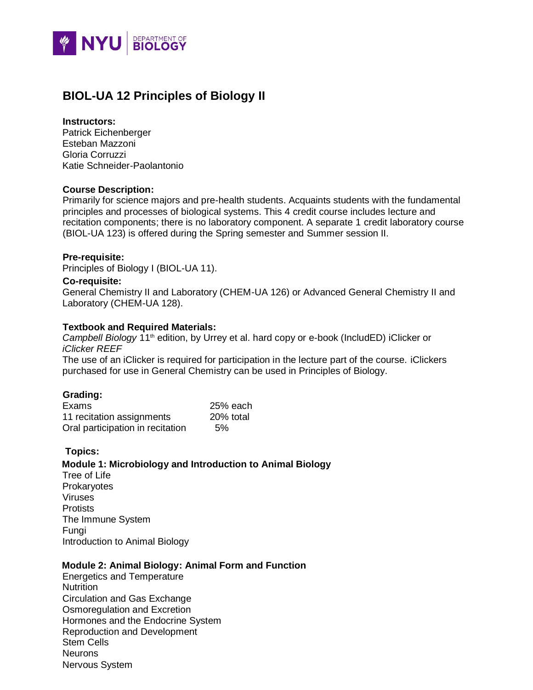

# **BIOL-UA 12 Principles of Biology II**

# **Instructors:**

Patrick Eichenberger Esteban Mazzoni Gloria Corruzzi Katie Schneider-Paolantonio

# **Course Description:**

Primarily for science majors and pre-health students. Acquaints students with the fundamental principles and processes of biological systems. This 4 credit course includes lecture and recitation components; there is no laboratory component. A separate 1 credit laboratory course (BIOL-UA 123) is offered during the Spring semester and Summer session II.

# **Pre-requisite:**

Principles of Biology I (BIOL-UA 11).

#### **Co-requisite:**

General Chemistry II and Laboratory (CHEM-UA 126) or Advanced General Chemistry II and Laboratory (CHEM-UA 128).

#### **Textbook and Required Materials:**

*Campbell Biology* 11<sup>th</sup> edition, by Urrey et al. hard copy or e-book (IncludED) iClicker or *iClicker REEF*

The use of an iClicker is required for participation in the lecture part of the course. iClickers purchased for use in General Chemistry can be used in Principles of Biology.

# **Grading:**

| Exams                            | 25% each  |
|----------------------------------|-----------|
| 11 recitation assignments        | 20% total |
| Oral participation in recitation | 5%        |

# **Topics:**

#### **Module 1: Microbiology and Introduction to Animal Biology**

Tree of Life **Prokaryotes** Viruses **Protists** The Immune System Fungi Introduction to Animal Biology

# **Module 2: Animal Biology: Animal Form and Function**

Energetics and Temperature Nutrition Circulation and Gas Exchange Osmoregulation and Excretion Hormones and the Endocrine System Reproduction and Development Stem Cells **Neurons** Nervous System